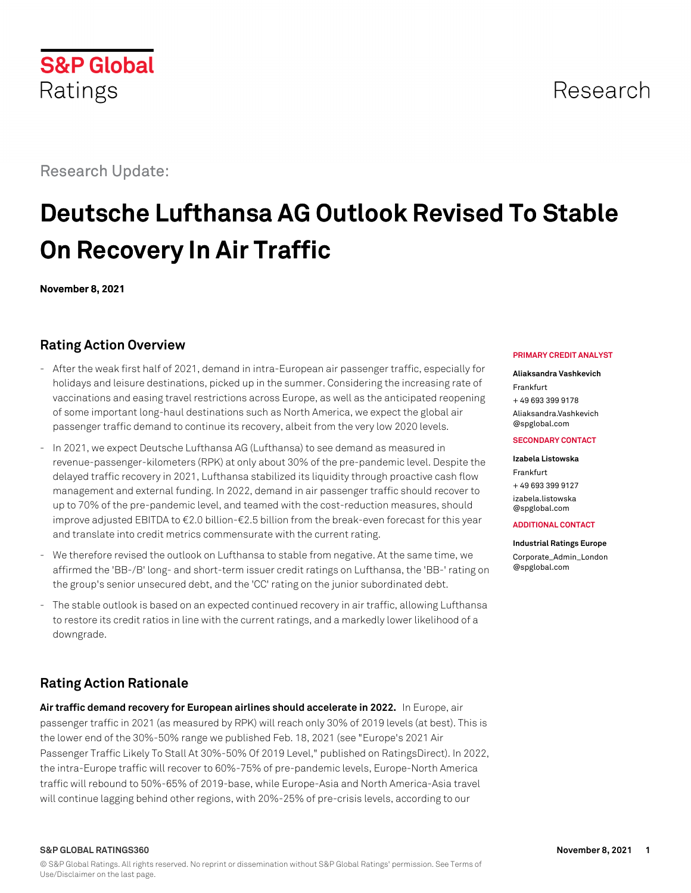© S&P Global Ratings. All rights reserved. No reprint or dissemination without S&P Global Ratings' permission. See Terms of Use/Disclaimer on the last page.

Research Update:

# **Deutsche Lufthansa AG Outlook Revised To Stable On Recovery In Air Traffic**

**November 8, 2021**

# **Rating Action Overview**

- After the weak first half of 2021, demand in intra-European air passenger traffic, especially for holidays and leisure destinations, picked up in the summer. Considering the increasing rate of vaccinations and easing travel restrictions across Europe, as well as the anticipated reopening of some important long-haul destinations such as North America, we expect the global air passenger traffic demand to continue its recovery, albeit from the very low 2020 levels.
- In 2021, we expect Deutsche Lufthansa AG (Lufthansa) to see demand as measured in revenue-passenger-kilometers (RPK) at only about 30% of the pre-pandemic level. Despite the delayed traffic recovery in 2021, Lufthansa stabilized its liquidity through proactive cash flow management and external funding. In 2022, demand in air passenger traffic should recover to up to 70% of the pre-pandemic level, and teamed with the cost-reduction measures, should improve adjusted EBITDA to €2.0 billion-€2.5 billion from the break-even forecast for this year and translate into credit metrics commensurate with the current rating.
- We therefore revised the outlook on Lufthansa to stable from negative. At the same time, we affirmed the 'BB-/B' long- and short-term issuer credit ratings on Lufthansa, the 'BB-' rating on the group's senior unsecured debt, and the 'CC' rating on the junior subordinated debt.
- The stable outlook is based on an expected continued recovery in air traffic, allowing Lufthansa to restore its credit ratios in line with the current ratings, and a markedly lower likelihood of a downgrade.

# **Rating Action Rationale**

**Air traffic demand recovery for European airlines should accelerate in 2022.** In Europe, air passenger traffic in 2021 (as measured by RPK) will reach only 30% of 2019 levels (at best). This is the lower end of the 30%-50% range we published Feb. 18, 2021 (see "Europe's 2021 Air Passenger Traffic Likely To Stall At 30%-50% Of 2019 Level," published on RatingsDirect). In 2022, the intra-Europe traffic will recover to 60%-75% of pre-pandemic levels, Europe-North America traffic will rebound to 50%-65% of 2019-base, while Europe-Asia and North America-Asia travel will continue lagging behind other regions, with 20%-25% of pre-crisis levels, according to our

#### **PRIMARY CREDIT ANALYST**

## **Aliaksandra Vashkevich**

Frankfurt + 49 693 399 9178

[Aliaksandra.Vashkevich](mailto:Aliaksandra.Vashkevich@spglobal.com) [@spglobal.com](mailto:Aliaksandra.Vashkevich@spglobal.com)

#### **SECONDARY CONTACT**

**Izabela Listowska** Frankfurt + 49 693 399 9127 [izabela.listowska](mailto:izabela.listowska@spglobal.com) [@spglobal.com](mailto:izabela.listowska@spglobal.com)

**ADDITIONAL CONTACT**

**Industrial Ratings Europe**

[Corporate\\_Admin\\_London](mailto:Corporate_Admin_London@spglobal.com) [@spglobal.com](mailto:Corporate_Admin_London@spglobal.com)

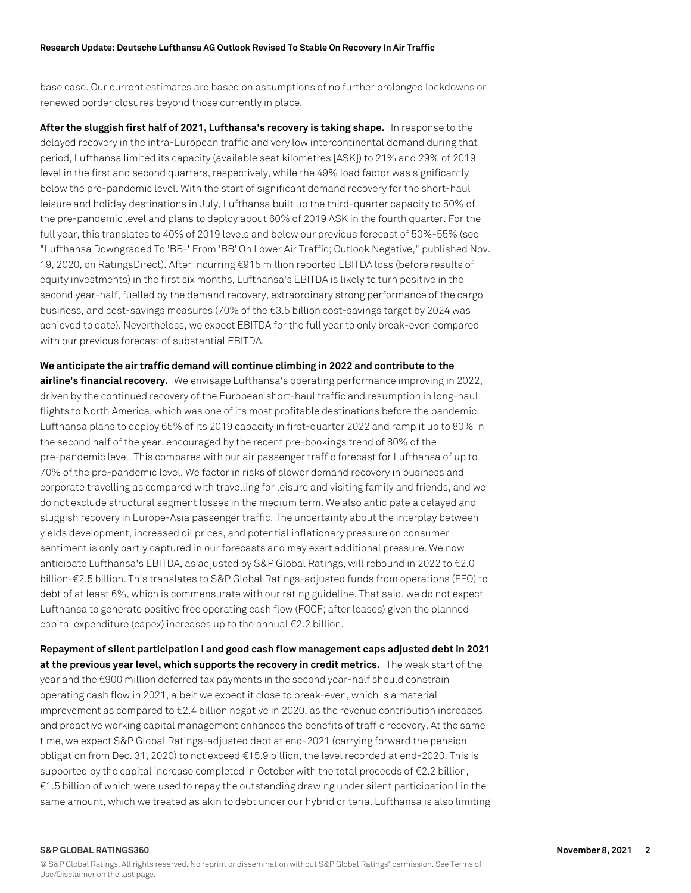base case. Our current estimates are based on assumptions of no further prolonged lockdowns or renewed border closures beyond those currently in place.

**After the sluggish first half of 2021, Lufthansa's recovery is taking shape.** In response to the delayed recovery in the intra-European traffic and very low intercontinental demand during that period, Lufthansa limited its capacity (available seat kilometres [ASK]) to 21% and 29% of 2019 level in the first and second quarters, respectively, while the 49% load factor was significantly below the pre-pandemic level. With the start of significant demand recovery for the short-haul leisure and holiday destinations in July, Lufthansa built up the third-quarter capacity to 50% of the pre-pandemic level and plans to deploy about 60% of 2019 ASK in the fourth quarter. For the full year, this translates to 40% of 2019 levels and below our previous forecast of 50%-55% (see "Lufthansa Downgraded To 'BB-' From 'BB' On Lower Air Traffic; Outlook Negative," published Nov. 19, 2020, on RatingsDirect). After incurring €915 million reported EBITDA loss (before results of equity investments) in the first six months, Lufthansa's EBITDA is likely to turn positive in the second year-half, fuelled by the demand recovery, extraordinary strong performance of the cargo business, and cost-savings measures (70% of the €3.5 billion cost-savings target by 2024 was achieved to date). Nevertheless, we expect EBITDA for the full year to only break-even compared with our previous forecast of substantial EBITDA.

**We anticipate the air traffic demand will continue climbing in 2022 and contribute to the airline's financial recovery.** We envisage Lufthansa's operating performance improving in 2022, driven by the continued recovery of the European short-haul traffic and resumption in long-haul flights to North America, which was one of its most profitable destinations before the pandemic. Lufthansa plans to deploy 65% of its 2019 capacity in first-quarter 2022 and ramp it up to 80% in the second half of the year, encouraged by the recent pre-bookings trend of 80% of the pre-pandemic level. This compares with our air passenger traffic forecast for Lufthansa of up to 70% of the pre-pandemic level. We factor in risks of slower demand recovery in business and corporate travelling as compared with travelling for leisure and visiting family and friends, and we do not exclude structural segment losses in the medium term. We also anticipate a delayed and sluggish recovery in Europe-Asia passenger traffic. The uncertainty about the interplay between yields development, increased oil prices, and potential inflationary pressure on consumer sentiment is only partly captured in our forecasts and may exert additional pressure. We now anticipate Lufthansa's EBITDA, as adjusted by S&P Global Ratings, will rebound in 2022 to €2.0 billion-€2.5 billion. This translates to S&P Global Ratings-adjusted funds from operations (FFO) to debt of at least 6%, which is commensurate with our rating guideline. That said, we do not expect Lufthansa to generate positive free operating cash flow (FOCF; after leases) given the planned capital expenditure (capex) increases up to the annual €2.2 billion.

**Repayment of silent participation I and good cash flow management caps adjusted debt in 2021 at the previous year level, which supports the recovery in credit metrics.** The weak start of the year and the €900 million deferred tax payments in the second year-half should constrain operating cash flow in 2021, albeit we expect it close to break-even, which is a material improvement as compared to  $E2.4$  billion negative in 2020, as the revenue contribution increases and proactive working capital management enhances the benefits of traffic recovery. At the same time, we expect S&P Global Ratings-adjusted debt at end-2021 (carrying forward the pension obligation from Dec. 31, 2020) to not exceed €15.9 billion, the level recorded at end-2020. This is supported by the capital increase completed in October with the total proceeds of €2.2 billion,  $€1.5$  billion of which were used to repay the outstanding drawing under silent participation I in the same amount, which we treated as akin to debt under our hybrid criteria. Lufthansa is also limiting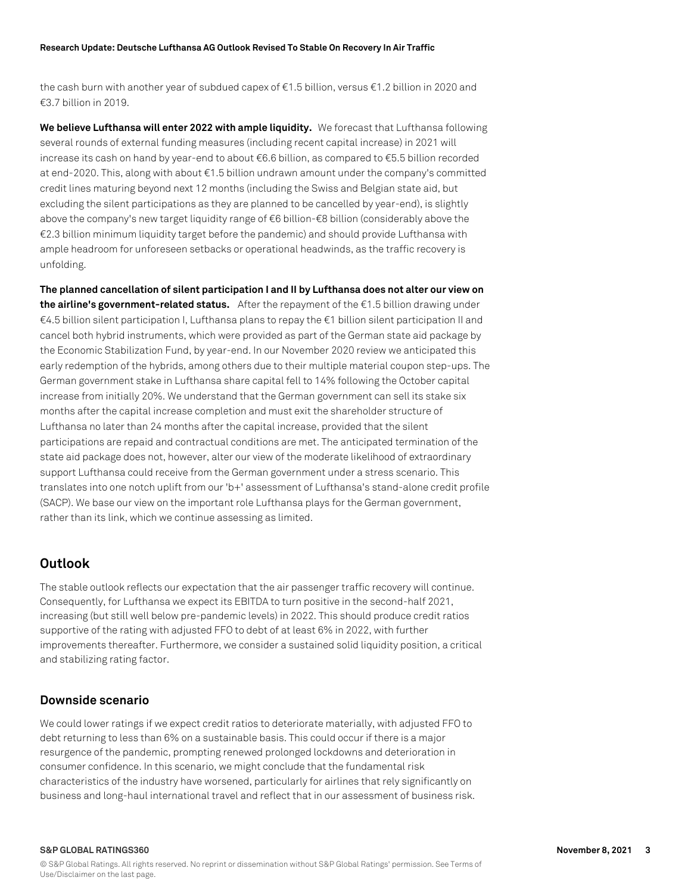the cash burn with another year of subdued capex of €1.5 billion, versus €1.2 billion in 2020 and €3.7 billion in 2019.

**We believe Lufthansa will enter 2022 with ample liquidity.** We forecast that Lufthansa following several rounds of external funding measures (including recent capital increase) in 2021 will increase its cash on hand by year-end to about €6.6 billion, as compared to €5.5 billion recorded at end-2020. This, along with about €1.5 billion undrawn amount under the company's committed credit lines maturing beyond next 12 months (including the Swiss and Belgian state aid, but excluding the silent participations as they are planned to be cancelled by year-end), is slightly above the company's new target liquidity range of €6 billion-€8 billion (considerably above the €2.3 billion minimum liquidity target before the pandemic) and should provide Lufthansa with ample headroom for unforeseen setbacks or operational headwinds, as the traffic recovery is unfolding.

**The planned cancellation of silent participation I and II by Lufthansa does not alter our view on the airline's government-related status.** After the repayment of the €1.5 billion drawing under €4.5 billion silent participation I, Lufthansa plans to repay the €1 billion silent participation II and cancel both hybrid instruments, which were provided as part of the German state aid package by the Economic Stabilization Fund, by year-end. In our November 2020 review we anticipated this early redemption of the hybrids, among others due to their multiple material coupon step-ups. The German government stake in Lufthansa share capital fell to 14% following the October capital increase from initially 20%. We understand that the German government can sell its stake six months after the capital increase completion and must exit the shareholder structure of Lufthansa no later than 24 months after the capital increase, provided that the silent participations are repaid and contractual conditions are met. The anticipated termination of the state aid package does not, however, alter our view of the moderate likelihood of extraordinary support Lufthansa could receive from the German government under a stress scenario. This translates into one notch uplift from our 'b+' assessment of Lufthansa's stand-alone credit profile (SACP). We base our view on the important role Lufthansa plays for the German government, rather than its link, which we continue assessing as limited.

# **Outlook**

The stable outlook reflects our expectation that the air passenger traffic recovery will continue. Consequently, for Lufthansa we expect its EBITDA to turn positive in the second-half 2021, increasing (but still well below pre-pandemic levels) in 2022. This should produce credit ratios supportive of the rating with adjusted FFO to debt of at least 6% in 2022, with further improvements thereafter. Furthermore, we consider a sustained solid liquidity position, a critical and stabilizing rating factor.

## **Downside scenario**

We could lower ratings if we expect credit ratios to deteriorate materially, with adjusted FFO to debt returning to less than 6% on a sustainable basis. This could occur if there is a major resurgence of the pandemic, prompting renewed prolonged lockdowns and deterioration in consumer confidence. In this scenario, we might conclude that the fundamental risk characteristics of the industry have worsened, particularly for airlines that rely significantly on business and long-haul international travel and reflect that in our assessment of business risk.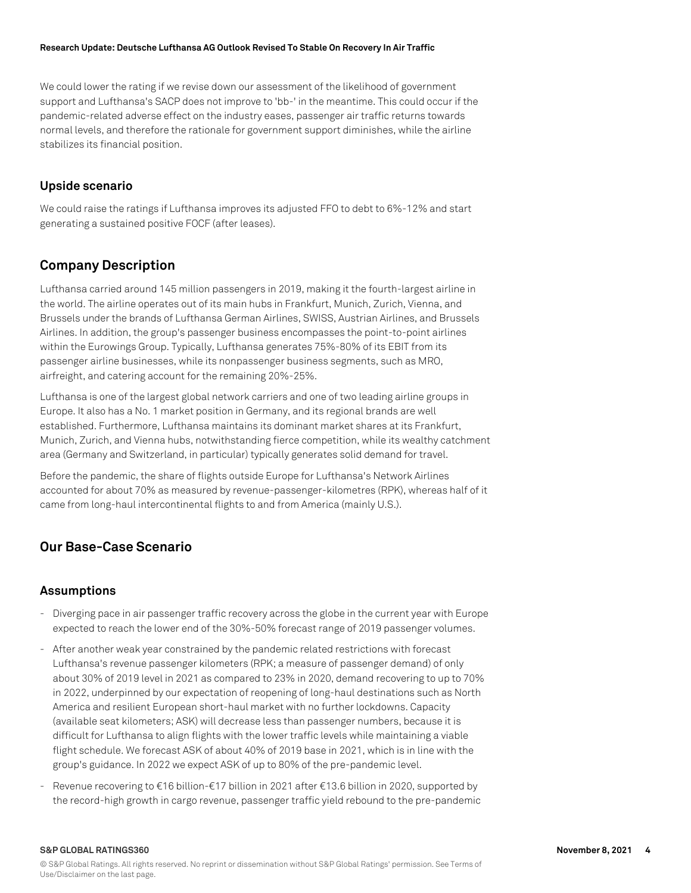#### **Research Update: Deutsche Lufthansa AG Outlook Revised To Stable On Recovery In Air Traffic**

We could lower the rating if we revise down our assessment of the likelihood of government support and Lufthansa's SACP does not improve to 'bb-' in the meantime. This could occur if the pandemic-related adverse effect on the industry eases, passenger air traffic returns towards normal levels, and therefore the rationale for government support diminishes, while the airline stabilizes its financial position.

## **Upside scenario**

We could raise the ratings if Lufthansa improves its adjusted FFO to debt to 6%-12% and start generating a sustained positive FOCF (after leases).

# **Company Description**

Lufthansa carried around 145 million passengers in 2019, making it the fourth-largest airline in the world. The airline operates out of its main hubs in Frankfurt, Munich, Zurich, Vienna, and Brussels under the brands of Lufthansa German Airlines, SWISS, Austrian Airlines, and Brussels Airlines. In addition, the group's passenger business encompasses the point-to-point airlines within the Eurowings Group. Typically, Lufthansa generates 75%-80% of its EBIT from its passenger airline businesses, while its nonpassenger business segments, such as MRO, airfreight, and catering account for the remaining 20%-25%.

Lufthansa is one of the largest global network carriers and one of two leading airline groups in Europe. It also has a No. 1 market position in Germany, and its regional brands are well established. Furthermore, Lufthansa maintains its dominant market shares at its Frankfurt, Munich, Zurich, and Vienna hubs, notwithstanding fierce competition, while its wealthy catchment area (Germany and Switzerland, in particular) typically generates solid demand for travel.

Before the pandemic, the share of flights outside Europe for Lufthansa's Network Airlines accounted for about 70% as measured by revenue-passenger-kilometres (RPK), whereas half of it came from long-haul intercontinental flights to and from America (mainly U.S.).

# **Our Base-Case Scenario**

## **Assumptions**

- Diverging pace in air passenger traffic recovery across the globe in the current year with Europe expected to reach the lower end of the 30%-50% forecast range of 2019 passenger volumes.
- After another weak year constrained by the pandemic related restrictions with forecast Lufthansa's revenue passenger kilometers (RPK; a measure of passenger demand) of only about 30% of 2019 level in 2021 as compared to 23% in 2020, demand recovering to up to 70% in 2022, underpinned by our expectation of reopening of long-haul destinations such as North America and resilient European short-haul market with no further lockdowns. Capacity (available seat kilometers; ASK) will decrease less than passenger numbers, because it is difficult for Lufthansa to align flights with the lower traffic levels while maintaining a viable flight schedule. We forecast ASK of about 40% of 2019 base in 2021, which is in line with the group's guidance. In 2022 we expect ASK of up to 80% of the pre-pandemic level.
- Revenue recovering to €16 billion-€17 billion in 2021 after €13.6 billion in 2020, supported by the record-high growth in cargo revenue, passenger traffic yield rebound to the pre-pandemic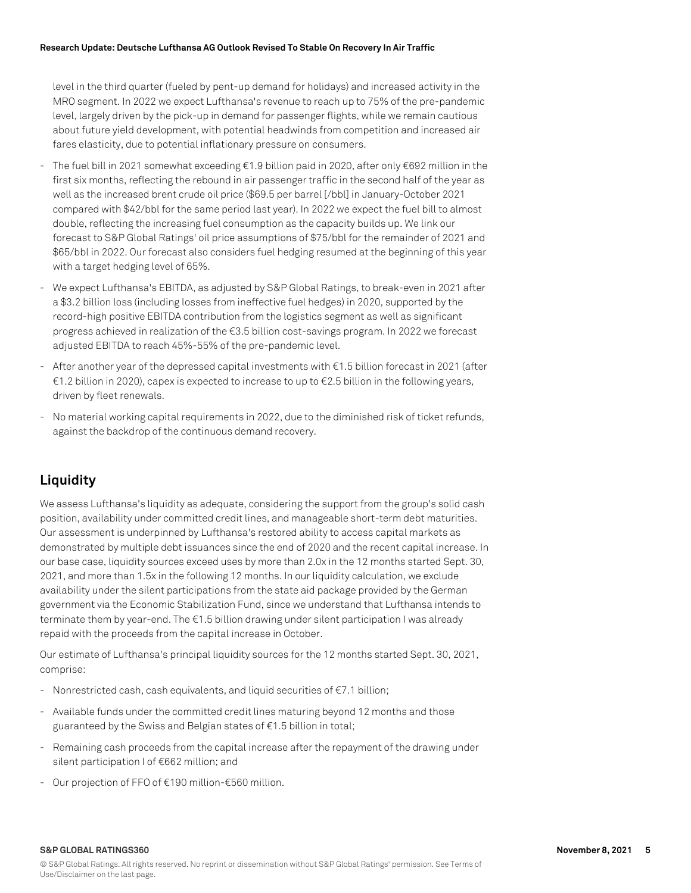level in the third quarter (fueled by pent-up demand for holidays) and increased activity in the MRO segment. In 2022 we expect Lufthansa's revenue to reach up to 75% of the pre-pandemic level, largely driven by the pick-up in demand for passenger flights, while we remain cautious about future yield development, with potential headwinds from competition and increased air fares elasticity, due to potential inflationary pressure on consumers.

- The fuel bill in 2021 somewhat exceeding  $\epsilon$ 1.9 billion paid in 2020, after only  $\epsilon$ 692 million in the first six months, reflecting the rebound in air passenger traffic in the second half of the year as well as the increased brent crude oil price (\$69.5 per barrel [/bbl] in January-October 2021 compared with \$42/bbl for the same period last year). In 2022 we expect the fuel bill to almost double, reflecting the increasing fuel consumption as the capacity builds up. We link our forecast to S&P Global Ratings' oil price assumptions of \$75/bbl for the remainder of 2021 and \$65/bbl in 2022. Our forecast also considers fuel hedging resumed at the beginning of this year with a target hedging level of 65%.
- We expect Lufthansa's EBITDA, as adjusted by S&P Global Ratings, to break-even in 2021 after a \$3.2 billion loss (including losses from ineffective fuel hedges) in 2020, supported by the record-high positive EBITDA contribution from the logistics segment as well as significant progress achieved in realization of the €3.5 billion cost-savings program. In 2022 we forecast adjusted EBITDA to reach 45%-55% of the pre-pandemic level.
- After another year of the depressed capital investments with €1.5 billion forecast in 2021 (after €1.2 billion in 2020), capex is expected to increase to up to €2.5 billion in the following years, driven by fleet renewals.
- No material working capital requirements in 2022, due to the diminished risk of ticket refunds, against the backdrop of the continuous demand recovery.

# **Liquidity**

We assess Lufthansa's liquidity as adequate, considering the support from the group's solid cash position, availability under committed credit lines, and manageable short-term debt maturities. Our assessment is underpinned by Lufthansa's restored ability to access capital markets as demonstrated by multiple debt issuances since the end of 2020 and the recent capital increase. In our base case, liquidity sources exceed uses by more than 2.0x in the 12 months started Sept. 30, 2021, and more than 1.5x in the following 12 months. In our liquidity calculation, we exclude availability under the silent participations from the state aid package provided by the German government via the Economic Stabilization Fund, since we understand that Lufthansa intends to terminate them by year-end. The €1.5 billion drawing under silent participation I was already repaid with the proceeds from the capital increase in October.

Our estimate of Lufthansa's principal liquidity sources for the 12 months started Sept. 30, 2021, comprise:

- Nonrestricted cash, cash equivalents, and liquid securities of €7.1 billion;
- Available funds under the committed credit lines maturing beyond 12 months and those guaranteed by the Swiss and Belgian states of €1.5 billion in total;
- Remaining cash proceeds from the capital increase after the repayment of the drawing under silent participation I of €662 million; and
- Our projection of FFO of €190 million-€560 million.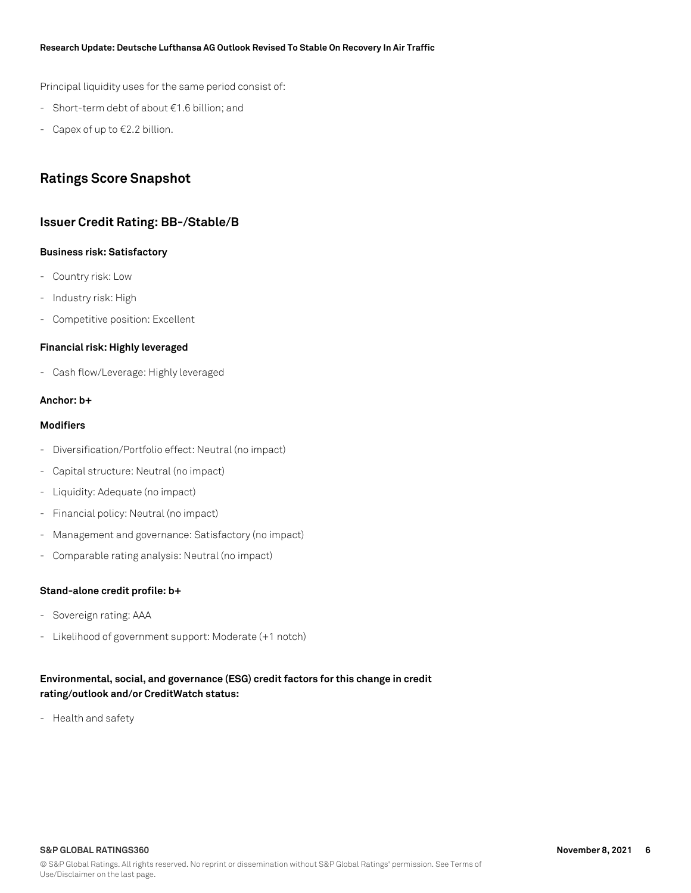#### **Research Update: Deutsche Lufthansa AG Outlook Revised To Stable On Recovery In Air Traffic**

Principal liquidity uses for the same period consist of:

- Short-term debt of about €1.6 billion; and
- Capex of up to €2.2 billion.

# **Ratings Score Snapshot**

## **Issuer Credit Rating: BB-/Stable/B**

#### **Business risk: Satisfactory**

- Country risk: Low
- Industry risk: High
- Competitive position: Excellent

#### **Financial risk: Highly leveraged**

- Cash flow/Leverage: Highly leveraged

#### **Anchor: b+**

#### **Modifiers**

- Diversification/Portfolio effect: Neutral (no impact)
- Capital structure: Neutral (no impact)
- Liquidity: Adequate (no impact)
- Financial policy: Neutral (no impact)
- Management and governance: Satisfactory (no impact)
- Comparable rating analysis: Neutral (no impact)

## **Stand-alone credit profile: b+**

- Sovereign rating: AAA
- Likelihood of government support: Moderate (+1 notch)

## **Environmental, social, and governance (ESG) credit factors for this change in credit rating/outlook and/or CreditWatch status:**

- Health and safety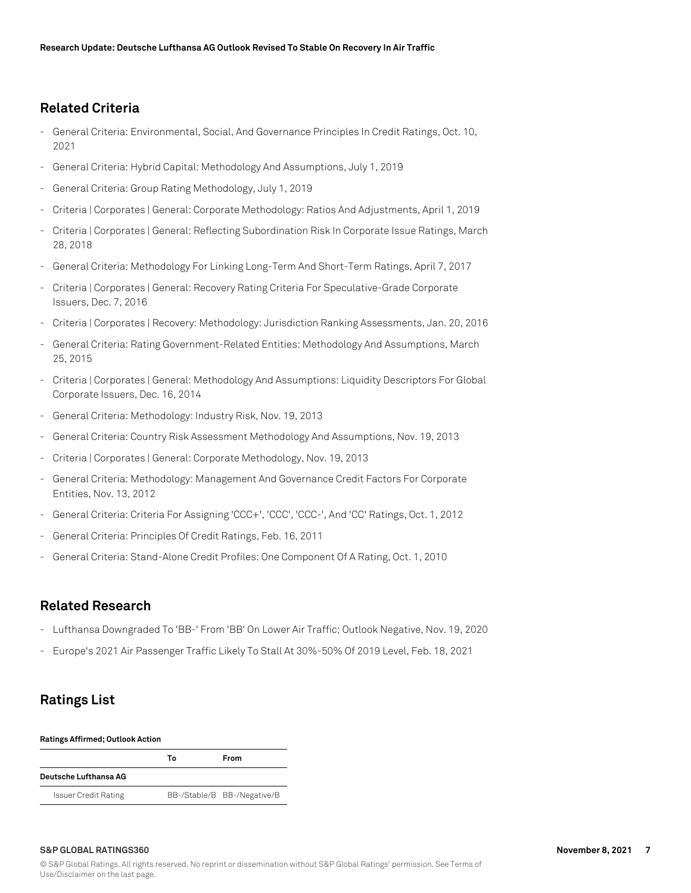# **Related Criteria**

- General Criteria: Environmental, Social, And Governance Principles In Credit Ratings, Oct. 10, 2021
- General Criteria: Hybrid Capital: Methodology And Assumptions, July 1, 2019
- General Criteria: Group Rating Methodology, July 1, 2019
- Criteria | Corporates | General: Corporate Methodology: Ratios And Adjustments, April 1, 2019
- Criteria | Corporates | General: Reflecting Subordination Risk In Corporate Issue Ratings, March 28, 2018
- General Criteria: Methodology For Linking Long-Term And Short-Term Ratings, April 7, 2017
- Criteria | Corporates | General: Recovery Rating Criteria For Speculative-Grade Corporate Issuers, Dec. 7, 2016
- Criteria | Corporates | Recovery: Methodology: Jurisdiction Ranking Assessments, Jan. 20, 2016
- General Criteria: Rating Government-Related Entities: Methodology And Assumptions, March 25, 2015
- Criteria | Corporates | General: Methodology And Assumptions: Liquidity Descriptors For Global Corporate Issuers, Dec. 16, 2014
- General Criteria: Methodology: Industry Risk, Nov. 19, 2013
- General Criteria: Country Risk Assessment Methodology And Assumptions, Nov. 19, 2013
- Criteria | Corporates | General: Corporate Methodology, Nov. 19, 2013
- General Criteria: Methodology: Management And Governance Credit Factors For Corporate Entities, Nov. 13, 2012
- General Criteria: Criteria For Assigning 'CCC+', 'CCC', 'CCC-', And 'CC' Ratings, Oct. 1, 2012
- General Criteria: Principles Of Credit Ratings, Feb. 16, 2011
- General Criteria: Stand-Alone Credit Profiles: One Component Of A Rating, Oct. 1, 2010

# **Related Research**

- Lufthansa Downgraded To 'BB-' From 'BB' On Lower Air Traffic; Outlook Negative, Nov. 19, 2020
- Europe's 2021 Air Passenger Traffic Likely To Stall At 30%-50% Of 2019 Level, Feb. 18, 2021

# **Ratings List**

#### **Ratings Affirmed; Outlook Action**

|                             | Т٥ | From                        |
|-----------------------------|----|-----------------------------|
| Deutsche Lufthansa AG       |    |                             |
| <b>Issuer Credit Rating</b> |    | BB-/Stable/B BB-/Negative/B |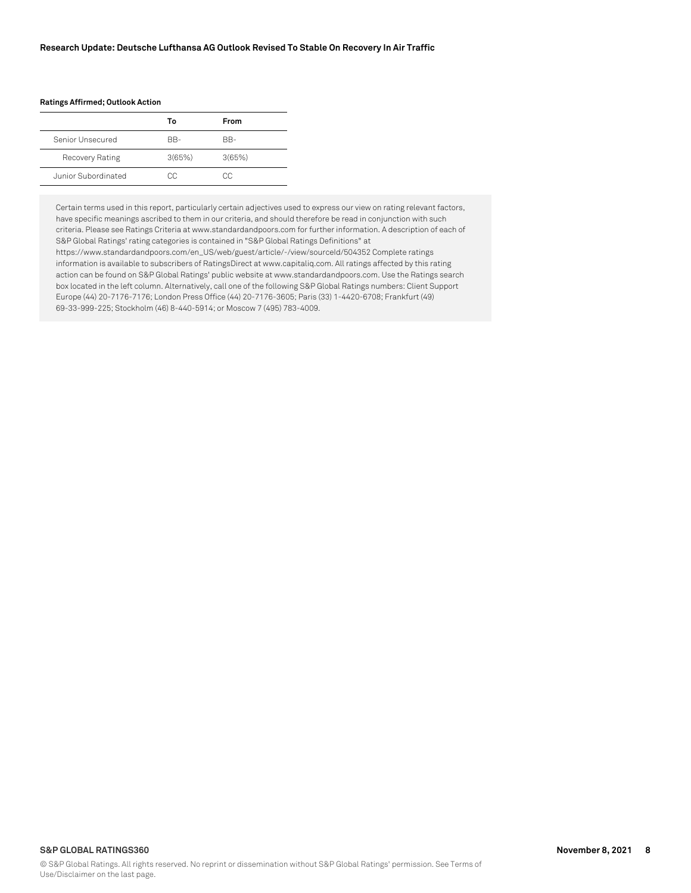#### **Ratings Affirmed; Outlook Action**

|                     | Т٥     | <b>From</b> |
|---------------------|--------|-------------|
| Senior Unsecured    | RR-    | BB-         |
| Recovery Rating     | 3(65%) | 3(65%)      |
| Junior Subordinated | CC.    | CC.         |

Certain terms used in this report, particularly certain adjectives used to express our view on rating relevant factors, have specific meanings ascribed to them in our criteria, and should therefore be read in conjunction with such criteria. Please see Ratings Criteria at www.standardandpoors.com for further information. A description of each of S&P Global Ratings' rating categories is contained in "S&P Global Ratings Definitions" at

https://www.standardandpoors.com/en\_US/web/guest/article/-/view/sourceId/504352 Complete ratings information is available to subscribers of RatingsDirect at www.capitaliq.com. All ratings affected by this rating action can be found on S&P Global Ratings' public website at www.standardandpoors.com. Use the Ratings search box located in the left column. Alternatively, call one of the following S&P Global Ratings numbers: Client Support Europe (44) 20-7176-7176; London Press Office (44) 20-7176-3605; Paris (33) 1-4420-6708; Frankfurt (49) 69-33-999-225; Stockholm (46) 8-440-5914; or Moscow 7 (495) 783-4009.